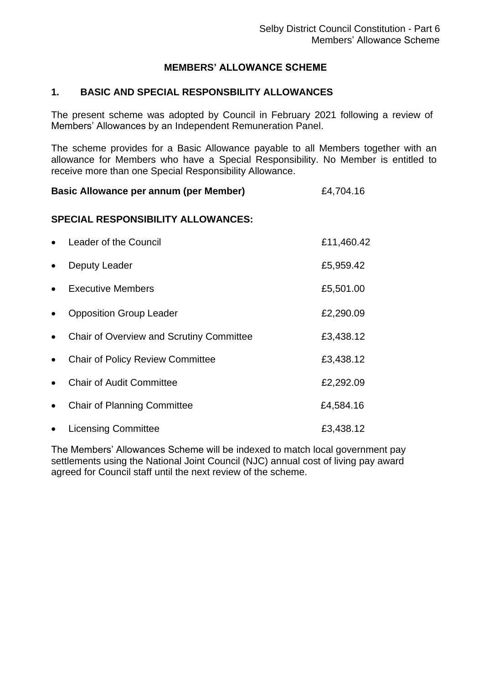### **MEMBERS' ALLOWANCE SCHEME**

### **1. BASIC AND SPECIAL RESPONSBILITY ALLOWANCES**

The present scheme was adopted by Council in February 2021 following a review of Members' Allowances by an Independent Remuneration Panel.

The scheme provides for a Basic Allowance payable to all Members together with an allowance for Members who have a Special Responsibility. No Member is entitled to receive more than one Special Responsibility Allowance.

### **Basic Allowance per annum (per Member)** E4,704.16

#### **SPECIAL RESPONSIBILITY ALLOWANCES:**

| $\bullet$ | Leader of the Council                           | £11,460.42 |
|-----------|-------------------------------------------------|------------|
| $\bullet$ | Deputy Leader                                   | £5,959.42  |
| $\bullet$ | Executive Members                               | £5,501.00  |
| $\bullet$ | <b>Opposition Group Leader</b>                  | £2,290.09  |
| $\bullet$ | <b>Chair of Overview and Scrutiny Committee</b> | £3,438.12  |
| $\bullet$ | <b>Chair of Policy Review Committee</b>         | £3,438.12  |
| $\bullet$ | <b>Chair of Audit Committee</b>                 | £2,292.09  |
| $\bullet$ | <b>Chair of Planning Committee</b>              | £4,584.16  |
| $\bullet$ | <b>Licensing Committee</b>                      | £3,438.12  |

The Members' Allowances Scheme will be indexed to match local government pay settlements using the National Joint Council (NJC) annual cost of living pay award agreed for Council staff until the next review of the scheme.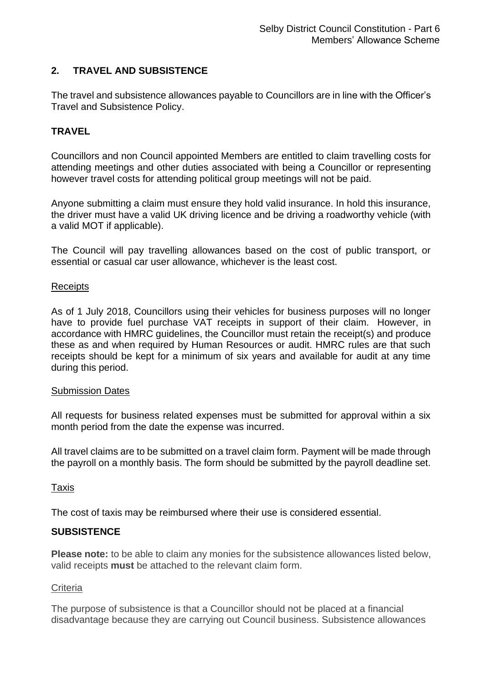# **2. TRAVEL AND SUBSISTENCE**

The travel and subsistence allowances payable to Councillors are in line with the Officer's Travel and Subsistence Policy.

# **TRAVEL**

Councillors and non Council appointed Members are entitled to claim travelling costs for attending meetings and other duties associated with being a Councillor or representing however travel costs for attending political group meetings will not be paid.

Anyone submitting a claim must ensure they hold valid insurance. In hold this insurance, the driver must have a valid UK driving licence and be driving a roadworthy vehicle (with a valid MOT if applicable).

The Council will pay travelling allowances based on the cost of public transport, or essential or casual car user allowance, whichever is the least cost.

#### **Receipts**

As of 1 July 2018, Councillors using their vehicles for business purposes will no longer have to provide fuel purchase VAT receipts in support of their claim. However, in accordance with HMRC guidelines, the Councillor must retain the receipt(s) and produce these as and when required by Human Resources or audit. HMRC rules are that such receipts should be kept for a minimum of six years and available for audit at any time during this period.

#### Submission Dates

All requests for business related expenses must be submitted for approval within a six month period from the date the expense was incurred.

All travel claims are to be submitted on a travel claim form. Payment will be made through the payroll on a monthly basis. The form should be submitted by the payroll deadline set.

### Taxis

The cost of taxis may be reimbursed where their use is considered essential.

### **SUBSISTENCE**

**Please note:** to be able to claim any monies for the subsistence allowances listed below, valid receipts **must** be attached to the relevant claim form.

### **Criteria**

The purpose of subsistence is that a Councillor should not be placed at a financial disadvantage because they are carrying out Council business. Subsistence allowances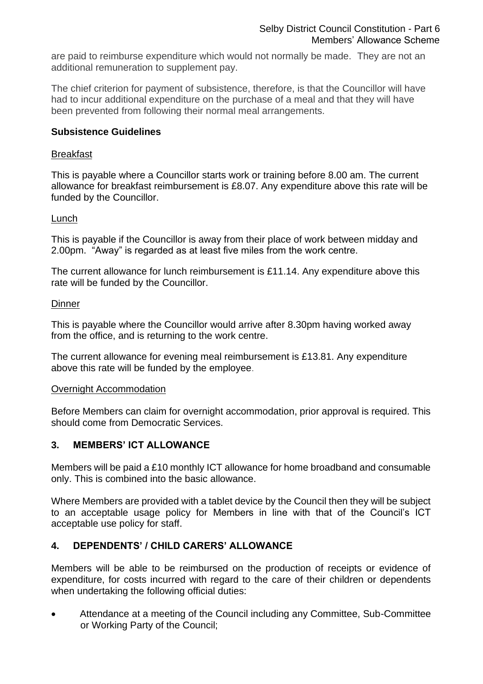are paid to reimburse expenditure which would not normally be made. They are not an additional remuneration to supplement pay.

The chief criterion for payment of subsistence, therefore, is that the Councillor will have had to incur additional expenditure on the purchase of a meal and that they will have been prevented from following their normal meal arrangements.

### **Subsistence Guidelines**

### Breakfast

This is payable where a Councillor starts work or training before 8.00 am. The current allowance for breakfast reimbursement is £8.07. Any expenditure above this rate will be funded by the Councillor.

## Lunch

This is payable if the Councillor is away from their place of work between midday and 2.00pm. "Away" is regarded as at least five miles from the work centre.

The current allowance for lunch reimbursement is £11.14. Any expenditure above this rate will be funded by the Councillor.

## **Dinner**

This is payable where the Councillor would arrive after 8.30pm having worked away from the office, and is returning to the work centre.

The current allowance for evening meal reimbursement is £13.81. Any expenditure above this rate will be funded by the employee.

### Overnight Accommodation

Before Members can claim for overnight accommodation, prior approval is required. This should come from Democratic Services.

# **3. MEMBERS' ICT ALLOWANCE**

Members will be paid a £10 monthly ICT allowance for home broadband and consumable only. This is combined into the basic allowance.

Where Members are provided with a tablet device by the Council then they will be subject to an acceptable usage policy for Members in line with that of the Council's ICT acceptable use policy for staff.

# **4. DEPENDENTS' / CHILD CARERS' ALLOWANCE**

Members will be able to be reimbursed on the production of receipts or evidence of expenditure, for costs incurred with regard to the care of their children or dependents when undertaking the following official duties:

• Attendance at a meeting of the Council including any Committee, Sub-Committee or Working Party of the Council;